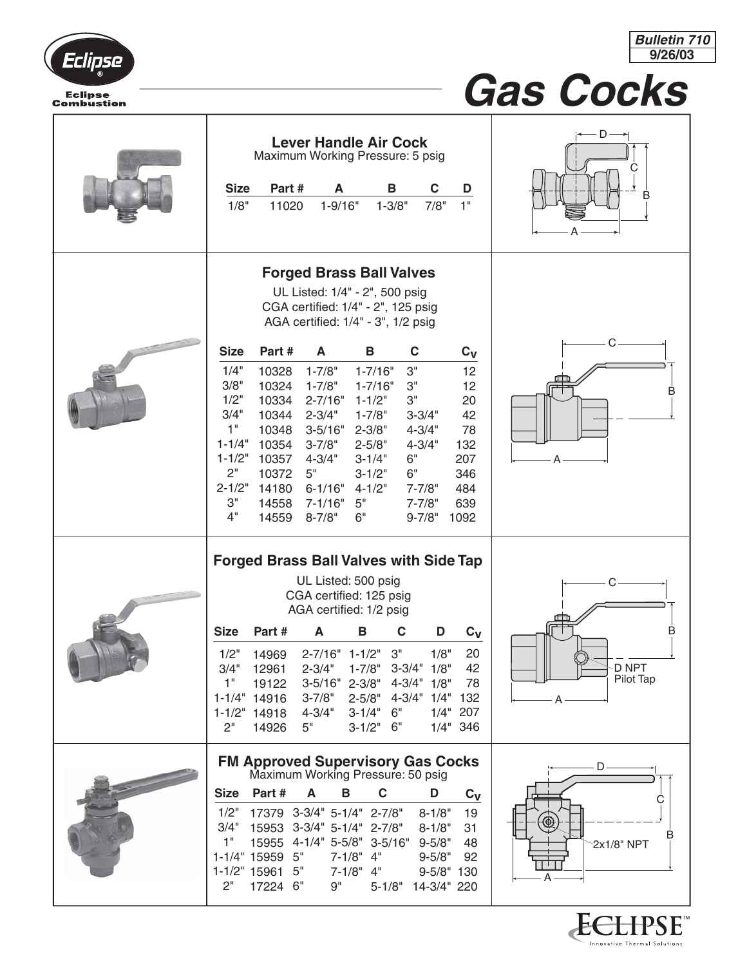



Innovative Thermal Solutions

## *Gas Cocks*

| <b>Lever Handle Air Cock</b><br>Maximum Working Pressure: 5 psig<br><b>Size</b><br>Part#<br>A<br>В<br>C<br>D<br>1"<br>1/8"<br>$1 - 9/16"$<br>$1 - 3/8"$<br>7/8"<br>11020                                                                                                                                                                                                                                                                                                                                                                                                                                                                                                                                                                                                                                                                                                                        | С<br>B                                                 |
|-------------------------------------------------------------------------------------------------------------------------------------------------------------------------------------------------------------------------------------------------------------------------------------------------------------------------------------------------------------------------------------------------------------------------------------------------------------------------------------------------------------------------------------------------------------------------------------------------------------------------------------------------------------------------------------------------------------------------------------------------------------------------------------------------------------------------------------------------------------------------------------------------|--------------------------------------------------------|
| <b>Forged Brass Ball Valves</b><br>UL Listed: 1/4" - 2", 500 psig<br>CGA certified: 1/4" - 2", 125 psig<br>AGA certified: 1/4" - 3", 1/2 psig<br>Part#<br>C<br><b>Size</b><br>A<br>В<br>$c_v$<br>1/4"<br>3"<br>10328<br>$1 - 7/8"$<br>$1 - 7/16"$<br>12<br>3/8"<br>$1 - 7/8"$<br>10324<br>3"<br>12<br>$1 - 7/16"$<br>1/2"<br>10334<br>$2 - 7/16"$<br>$1 - 1/2"$<br>3"<br>20<br>3/4"<br>10344<br>$2 - 3/4"$<br>$1 - 7/8"$<br>42<br>$3 - 3/4"$<br>1"<br>10348<br>$3 - 5/16"$<br>$2 - 3/8"$<br>78<br>$4 - 3/4"$<br>$1 - 1/4"$<br>10354<br>$3 - 7/8"$<br>$2 - 5/8"$<br>$4 - 3/4"$<br>132<br>$1 - 1/2"$<br>10357<br>$4 - 3/4"$<br>$3 - 1/4"$<br>6"<br>207<br>2"<br>10372<br>5"<br>$3 - 1/2"$<br>6"<br>346<br>$2 - 1/2"$<br>14180<br>$6 - 1/16"$<br>$7 - 7/8"$<br>484<br>$4 - 1/2"$<br>3"<br>14558<br>$7 - 1/16"$<br>5"<br>$7 - 7/8"$<br>639<br>4"<br>14559<br>$8 - 7/8"$<br>6"<br>$9 - 7/8"$<br>1092 | C<br>B                                                 |
| <b>Forged Brass Ball Valves with Side Tap</b><br>UL Listed: 500 psig<br>CGA certified: 125 psig<br>AGA certified: 1/2 psig<br>C<br><b>Size</b><br>A<br>B<br>D<br>$c_v$<br>Part#<br>14969 2-7/16" 1-1/2" 3"<br>1/2"<br>1/8"<br>20<br>3/4"<br>1-7/8" 3-3/4" 1/8"<br>42<br>12961<br>$2 - 3/4"$<br>$2 - 3/8"$<br>$4 - 3/4"$<br>1/8"<br>1"<br>19122<br>$3 - 5/16"$<br>78<br>$4 - 3/4"$<br>$3 - 7/8"$<br>$2 - 5/8"$<br>1/4" 132<br>$1 - 1/4"$<br>14916<br>$3 - 1/4"$<br>6"<br>1/4" 207<br>$1 - 1/2"$<br>$4 - 3/4"$<br>14918<br>5"<br>2"<br>$3 - 1/2"$<br>6"<br>1/4" 346<br>14926                                                                                                                                                                                                                                                                                                                      | B<br>D NPT<br>Pilot Tap                                |
| <b>FM Approved Supervisory Gas Cocks</b><br>Maximum Working Pressure: 50 psig<br>Part#<br>$\mathbf C$<br><b>Size</b><br>D<br>A<br>В<br>$c_v$<br>1/2"<br>17379 3-3/4" 5-1/4" 2-7/8"<br>$8 - 1/8"$<br>19<br>15953 3-3/4" 5-1/4" 2-7/8"<br>3/4"<br>$8 - 1/8"$<br>31<br>15955 4-1/4" 5-5/8" 3-5/16"<br>1"<br>$9 - 5/8"$<br>48<br>$7-1/8" 4"$<br>1-1/4" 15959 5"<br>$9 - 5/8"$<br>92<br>1-1/2" 15961 5"<br>$7-1/8" 4"$<br>$9 - 5/8" 130$<br>2"<br>9"<br>17224 6"<br>14-3/4" 220<br>$5 - 1/8"$                                                                                                                                                                                                                                                                                                                                                                                                        | ۰D<br>C<br>℗<br>B<br>2x1/8" NPT<br>A<br><b>ECLIPSE</b> |